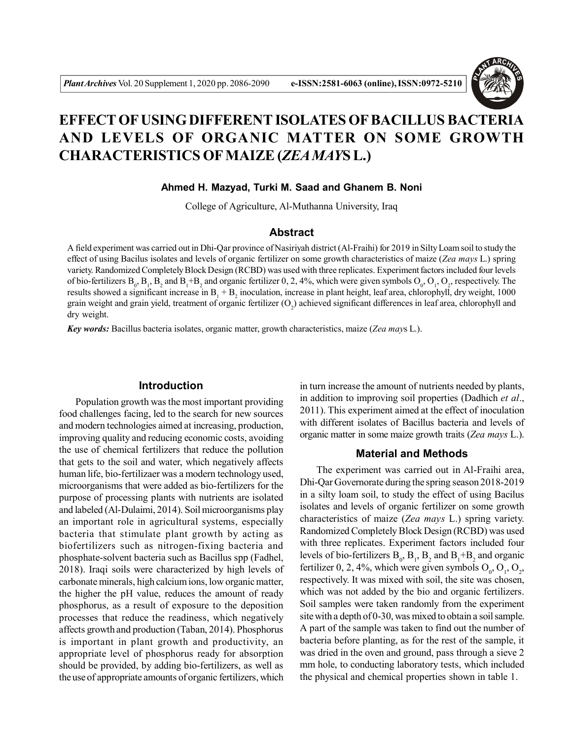

# **EFFECT OF USING DIFFERENT ISOLATES OF BACILLUS BACTERIA AND LEVELS OF ORGANIC MATTER ON SOME GROWTH CHARACTERISTICS OF MAIZE (***ZEA MAY***S L.)**

**Ahmed H. Mazyad, Turki M. Saad and Ghanem B. Noni**

College of Agriculture, Al-Muthanna University, Iraq

## **Abstract**

A field experiment was carried out in Dhi-Qar province of Nasiriyah district (Al-Fraihi) for 2019 in Silty Loam soil to study the effect of using Bacilus isolates and levels of organic fertilizer on some growth characteristics of maize (*Zea mays* L.) spring variety. Randomized Completely Block Design (RCBD) was used with three replicates. Experiment factors included four levels of bio-fertilizers  $B_0$ ,  $B_1$ ,  $B_2$  and  $B_1$ + $B_2$  and organic fertilizer 0, 2, 4%, which were given symbols  $O_0$ ,  $O_1$ ,  $O_2$ , respectively. The results showed a significant increase in  $B_1 + B_2$  inoculation, increase in plant height, leaf area, chlorophyll, dry weight, 1000 grain weight and grain yield, treatment of organic fertilizer  $(O_2)$  achieved significant differences in leaf area, chlorophyll and dry weight.

*Key words:* Bacillus bacteria isolates, organic matter, growth characteristics, maize (*Zea may*s L.).

## **Introduction**

Population growth was the most important providing food challenges facing, led to the search for new sources and modern technologies aimed at increasing, production, improving quality and reducing economic costs, avoiding the use of chemical fertilizers that reduce the pollution that gets to the soil and water, which negatively affects human life, bio-fertilizaer was a modern technology used, microorganisms that were added as bio-fertilizers for the purpose of processing plants with nutrients are isolated and labeled (Al-Dulaimi, 2014). Soil microorganisms play an important role in agricultural systems, especially bacteria that stimulate plant growth by acting as biofertilizers such as nitrogen-fixing bacteria and phosphate-solvent bacteria such as Bacillus spp (Fadhel, 2018). Iraqi soils were characterized by high levels of carbonate minerals, high calcium ions, low organic matter, the higher the pH value, reduces the amount of ready phosphorus, as a result of exposure to the deposition processes that reduce the readiness, which negatively affects growth and production (Taban, 2014). Phosphorus is important in plant growth and productivity, an appropriate level of phosphorus ready for absorption should be provided, by adding bio-fertilizers, as well as the use of appropriate amounts of organic fertilizers, which

in turn increase the amount of nutrients needed by plants, in addition to improving soil properties (Dadhich *et al*., 2011). This experiment aimed at the effect of inoculation with different isolates of Bacillus bacteria and levels of organic matter in some maize growth traits (*Zea mays* L.).

#### **Material and Methods**

The experiment was carried out in Al-Fraihi area, Dhi-Qar Governorate during the spring season 2018-2019 in a silty loam soil, to study the effect of using Bacilus isolates and levels of organic fertilizer on some growth characteristics of maize (*Zea mays* L.) spring variety. Randomized Completely Block Design (RCBD) was used with three replicates. Experiment factors included four levels of bio-fertilizers  $B_0$ ,  $B_1$ ,  $B_2$  and  $B_1 + B_2$  and organic fertilizer 0, 2, 4%, which were given symbols  $O_0$ ,  $O_1$ ,  $O_2$ , respectively. It was mixed with soil, the site was chosen, which was not added by the bio and organic fertilizers. Soil samples were taken randomly from the experiment site with a depth of 0-30, was mixed to obtain a soil sample. A part of the sample was taken to find out the number of bacteria before planting, as for the rest of the sample, it was dried in the oven and ground, pass through a sieve 2 mm hole, to conducting laboratory tests, which included the physical and chemical properties shown in table 1.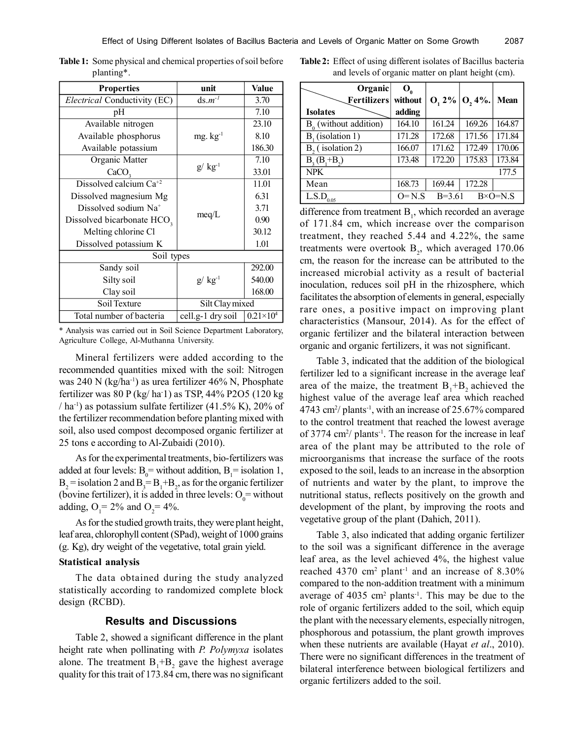| <b>Properties</b>                      | unit               | Value              |
|----------------------------------------|--------------------|--------------------|
| Electrical Conductivity (EC)           | $ds.m^{-1}$        | 3.70               |
| pH                                     |                    | 7.10               |
| Available nitrogen                     |                    | 23.10              |
| Available phosphorus                   | $mg. kg^{-1}$      | 8.10               |
| Available potassium                    |                    | 186.30             |
| Organic Matter                         |                    | 7.10               |
| CaCO <sub>2</sub>                      | $g/\text{kg}^{-1}$ | 33.01              |
| Dissolved calcium $Ca^{+2}$            |                    | 11.01              |
| Dissolved magnesium Mg                 |                    | 6.31               |
| Dissolved sodium Na <sup>+</sup>       |                    | 3.71               |
| Dissolved bicarbonate HCO <sub>3</sub> | meq/L              | 0.90               |
| Melting chlorine Cl                    |                    | 30.12              |
| Dissolved potassium K                  |                    | 1.01               |
| Soil types                             |                    |                    |
| Sandy soil                             |                    | 292.00             |
| Silty soil                             | $g/\text{kg}^{-1}$ | 540.00             |
| Clay soil                              |                    | 168.00             |
| Soil Texture                           | Silt Clay mixed    |                    |
| Total number of bacteria               | cell.g-1 dry soil  | $0.21\times10^{4}$ |

**Table 1:** Some physical and chemical properties of soil before planting\*.

\* Analysis was carried out in Soil Science Department Laboratory, Agriculture College, Al-Muthanna University.

Mineral fertilizers were added according to the recommended quantities mixed with the soil: Nitrogen was 240 N (kg/ha<sup>-1</sup>) as urea fertilizer 46% N, Phosphate fertilizer was 80 P (kg/ ha-1) as TSP, 44% P2O5 (120 kg / ha<sup>-1</sup>) as potassium sulfate fertilizer (41.5% K), 20% of the fertilizer recommendation before planting mixed with soil, also used compost decomposed organic fertilizer at 25 tons e according to Al-Zubaidi (2010).

As for the experimental treatments, bio-fertilizers was added at four levels:  $B_0$  = without addition,  $B_1$  = isolation 1,  $B_2$  = isolation 2 and  $B_3 = B_1 + B_2$ , as for the organic fertilizer (bovine fertilizer), it is added in three levels:  $O_0$  = without adding,  $O_1 = 2\%$  and  $O_2 = 4\%$ .

As for the studied growth traits, they were plant height, leaf area, chlorophyll content (SPad), weight of 1000 grains (g. Kg), dry weight of the vegetative, total grain yield.

### **Statistical analysis**

The data obtained during the study analyzed statistically according to randomized complete block design (RCBD).

## **Results and Discussions**

Table 2, showed a significant difference in the plant height rate when pollinating with *P. Polymyxa* isolates alone. The treatment  $B_1 + B_2$  gave the highest average quality for this trait of 173.84 cm, there was no significant

**Table 2:** Effect of using different isolates of Bacillus bacteria and levels of organic matter on plant height (cm).

| Organic<br>Fertilizers   | $\mathbf{O}_{\alpha}$<br>without |          | $O, 2\%$   $O, 4\%$ . | <b>Mean</b>      |
|--------------------------|----------------------------------|----------|-----------------------|------------------|
| <b>Isolates</b>          | adding                           |          |                       |                  |
| $B_0$ (without addition) | 164.10                           | 161.24   | 169.26                | 164.87           |
| $B1$ (isolation 1)       | 171.28                           | 172.68   | 171.56                | 171.84           |
| $B2$ (isolation 2)       | 166.07                           | 171.62   | 172.49                | 170.06           |
| $B_3(B_1 + B_2)$         | 173.48                           | 172.20   | 175.83                | 173.84           |
| <b>NPK</b>               |                                  |          |                       | 177.5            |
| Mean                     | 168.73                           | 169.44   | 172.28                |                  |
| L.S.D<br>0.05            | $O=N.S$                          | $B=3.61$ |                       | $B \times O=N.S$ |

difference from treatment  $B<sub>1</sub>$ , which recorded an average of 171.84 cm, which increase over the comparison treatment, they reached 5.44 and 4.22%, the same treatments were overtook  $B_2$ , which averaged 170.06 cm, the reason for the increase can be attributed to the increased microbial activity as a result of bacterial inoculation, reduces soil pH in the rhizosphere, which facilitates the absorption of elements in general, especially rare ones, a positive impact on improving plant characteristics (Mansour, 2014). As for the effect of organic fertilizer and the bilateral interaction between organic and organic fertilizers, it was not significant.

Table 3, indicated that the addition of the biological fertilizer led to a significant increase in the average leaf area of the maize, the treatment  $B_1 + B_2$  achieved the highest value of the average leaf area which reached 4743 cm<sup>2</sup> / plants-1, with an increase of 25.67% compared to the control treatment that reached the lowest average of 3774 cm<sup>2</sup>/ plants<sup>-1</sup>. The reason for the increase in leaf area of the plant may be attributed to the role of microorganisms that increase the surface of the roots exposed to the soil, leads to an increase in the absorption of nutrients and water by the plant, to improve the nutritional status, reflects positively on the growth and development of the plant, by improving the roots and vegetative group of the plant (Dahich, 2011).

Table 3, also indicated that adding organic fertilizer to the soil was a significant difference in the average leaf area, as the level achieved 4%, the highest value reached 4370  $\text{cm}^2$  plant<sup>-1</sup> and an increase of 8.30% compared to the non-addition treatment with a minimum average of  $4035 \text{ cm}^2$  plants<sup>-1</sup>. This may be due to the role of organic fertilizers added to the soil, which equip the plant with the necessary elements, especially nitrogen, phosphorous and potassium, the plant growth improves when these nutrients are available (Hayat *et al*., 2010). There were no significant differences in the treatment of bilateral interference between biological fertilizers and organic fertilizers added to the soil.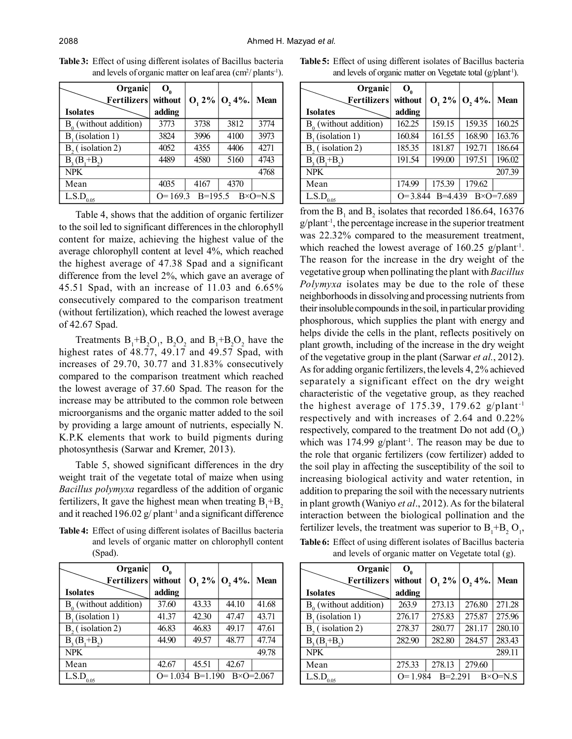| Organic                                                          | O.      |      |                       |             |
|------------------------------------------------------------------|---------|------|-----------------------|-------------|
| Fertilizers                                                      | without |      | $0, 2\%$   $0, 4\%$ . | <b>Mean</b> |
| <b>Isolates</b>                                                  | adding  |      |                       |             |
| $B_0$ (without addition)                                         | 3773    | 3738 | 3812                  | 3774        |
| $B_{1}$ (isolation 1)                                            | 3824    | 3996 | 4100                  | 3973        |
| $B2$ (isolation 2)                                               | 4052    | 4355 | 4406                  | 4271        |
| $B, (B, +B)$                                                     | 4489    | 4580 | 5160                  | 4743        |
| <b>NPK</b>                                                       | 4768    |      |                       |             |
| Mean                                                             | 4035    | 4167 | 4370                  |             |
| $O=169.3$ B=195.5 B×O=N.S<br>$\overline{L}$ .S.D <sub>0.05</sub> |         |      |                       |             |

**Table 3:** Effect of using different isolates of Bacillus bacteria and levels of organic matter on leaf area  $\text{cm}^2\text{/ plants}^{-1}$ ).

Table 4, shows that the addition of organic fertilizer to the soil led to significant differences in the chlorophyll content for maize, achieving the highest value of the average chlorophyll content at level 4%, which reached the highest average of 47.38 Spad and a significant difference from the level 2%, which gave an average of 45.51 Spad, with an increase of 11.03 and 6.65% consecutively compared to the comparison treatment (without fertilization), which reached the lowest average of 42.67 Spad.

Treatments  $B_1 + B_2O_1$ ,  $B_2O_2$  and  $B_1 + B_2O_2$  have the highest rates of 48.77, 49.17 and 49.57 Spad, with increases of 29.70, 30.77 and 31.83% consecutively compared to the comparison treatment which reached the lowest average of 37.60 Spad. The reason for the increase may be attributed to the common role between microorganisms and the organic matter added to the soil by providing a large amount of nutrients, especially N. K.P.K elements that work to build pigments during photosynthesis (Sarwar and Kremer, 2013).

Table 5, showed significant differences in the dry weight trait of the vegetate total of maize when using *Bacillus polymyxa* regardless of the addition of organic fertilizers, It gave the highest mean when treating  $B_1 + B_2$ and it reached 196.02  $g$ / plant<sup>-1</sup> and a significant difference

and levels of organic matter on chlorophyll content (Spad).

| Organic                             | $\mathbf{O}_{\alpha}$                     |       |                     |             |
|-------------------------------------|-------------------------------------------|-------|---------------------|-------------|
| Fertilizers                         | without                                   |       | $O, 2\%$ $O, 4\%$ . | <b>Mean</b> |
| <b>Isolates</b>                     | adding                                    |       |                     |             |
| $B_0$ (without addition)            | 37.60                                     | 43.33 | 44.10               | 41.68       |
| $B_{1}$ (isolation 1)               | 41.37                                     | 42.30 | 47.47               | 43.71       |
| $B2$ (isolation 2)                  | 46.83                                     | 46.83 | 49.17               | 47.61       |
| $B_3(B_1 + B_2)$                    | 44.90                                     | 49.57 | 48.77               | 47.74       |
| <b>NPK</b>                          |                                           |       |                     | 49.78       |
| Mean                                | 42.67                                     | 45.51 | 42.67               |             |
| $\overline{L}$ .S.D <sub>0.05</sub> | $O=1.034$ B=1.190<br>$B \times O = 2.067$ |       |                     |             |

**Table 5:** Effect of using different isolates of Bacillus bacteria and levels of organic matter on Vegetate total (g/plant<sup>1</sup>).

| Organic<br>Fertilizers   | $\mathbf{O}_{\alpha}$<br>without                 |        | $O, 2\%$   $O, 4\%$ . | <b>Mean</b> |
|--------------------------|--------------------------------------------------|--------|-----------------------|-------------|
| <b>Isolates</b>          | adding                                           |        |                       |             |
| $B_0$ (without addition) | 162.25                                           | 159.15 | 159.35                | 160.25      |
| $B1$ (isolation 1)       | 160.84                                           | 161.55 | 168.90                | 163.76      |
| $B2$ (isolation 2)       | 185.35                                           | 181.87 | 192.71                | 186.64      |
| $B_3(B_1 + B_2)$         | 191.54                                           | 199.00 | 197.51                | 196.02      |
| <b>NPK</b>               |                                                  |        |                       | 207.39      |
| Mean                     | 174.99                                           | 175.39 | 179.62                |             |
| L.S.D<br>0.05            | $B=4.439$<br>$B \times O = 7.689$<br>$Q = 3.844$ |        |                       |             |

from the  $B_1$  and  $B_2$  isolates that recorded 186.64, 16376  $g$ /plant<sup>-1</sup>, the percentage increase in the superior treatment was 22.32% compared to the measurement treatment, which reached the lowest average of  $160.25$  g/plant<sup>-1</sup>. The reason for the increase in the dry weight of the vegetative group when pollinating the plant with *Bacillus Polymyxa* isolates may be due to the role of these neighborhoods in dissolving and processing nutrients from their insoluble compounds in the soil, in particular providing phosphorous, which supplies the plant with energy and helps divide the cells in the plant, reflects positively on plant growth, including of the increase in the dry weight of the vegetative group in the plant (Sarwar *et al.*, 2012). As for adding organic fertilizers, the levels 4, 2% achieved separately a significant effect on the dry weight characteristic of the vegetative group, as they reached the highest average of 175.39, 179.62  $g$ /plant<sup>-1</sup> respectively and with increases of 2.64 and 0.22% respectively, compared to the treatment Do not add  $(O_0)$ which was  $174.99$  g/plant<sup>-1</sup>. The reason may be due to the role that organic fertilizers (cow fertilizer) added to the soil play in affecting the susceptibility of the soil to increasing biological activity and water retention, in addition to preparing the soil with the necessary nutrients in plant growth (Waniyo *et al*., 2012). As for the bilateral interaction between the biological pollination and the **Table 4:** Effect of using different isolates of Bacillus bacteria fertilizer levels, the treatment was superior to  $B_1 + B_2 O_1$ ,

| <b>Table 6:</b> Effect of using different isolates of Bacillus bacteria |
|-------------------------------------------------------------------------|
| and levels of organic matter on Vegetate total $(g)$ .                  |

| Organic                                    | $O_{\alpha}$ |           |                     |                  |
|--------------------------------------------|--------------|-----------|---------------------|------------------|
| $\left\lfloor$ Fertilizers $\right\rfloor$ | without      |           | $O, 2\%$ $O, 4\%$ . | Mean             |
| <b>Isolates</b>                            | adding       |           |                     |                  |
| $B_0$ (without addition)                   | 263.9        | 273.13    | 276.80              | 271.28           |
| $B_{1}$ (isolation 1)                      | 276.17       | 275.83    | 275.87              | 275.96           |
| $B2$ (isolation 2)                         | 278.37       | 280.77    | 281.17              | 280.10           |
| $B_3(B_1 + B_2)$                           | 282.90       | 282.80    | 284.57              | 283.43           |
| <b>NPK</b>                                 |              |           |                     | 289.11           |
| Mean                                       | 275.33       | 278.13    | 279.60              |                  |
| $\overline{L}$ S.D <sub>0.05</sub>         | $Q=1.984$    | $B=2.291$ |                     | $B \times O=N.S$ |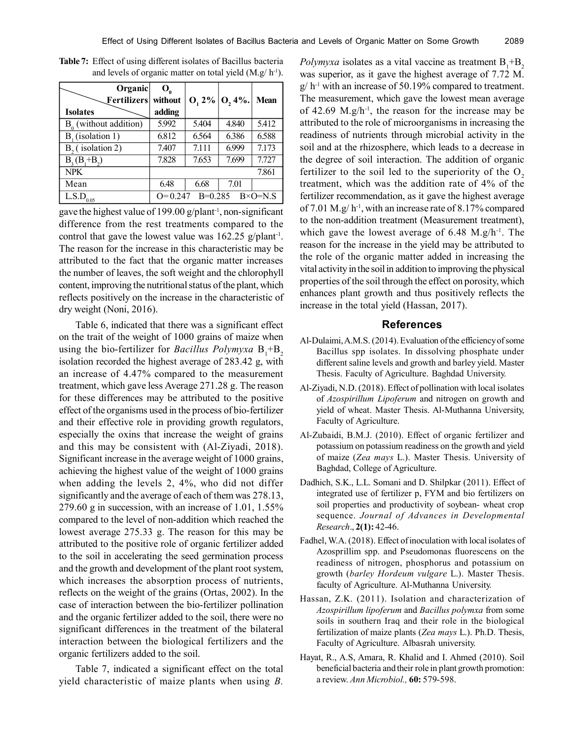| Organic<br>Fertilizers   | $\mathbf{O}_{\alpha}$<br>without | $O, 2\%$  | $0,4%$ . | Mean             |
|--------------------------|----------------------------------|-----------|----------|------------------|
| <b>Isolates</b>          | adding                           |           |          |                  |
| $B_0$ (without addition) | 5.992                            | 5.404     | 4.840    | 5.412            |
| $B1$ (isolation 1)       | 6.812                            | 6.564     | 6.386    | 6.588            |
| $B2$ (isolation 2)       | 7.407                            | 7.111     | 6.999    | 7.173            |
| $B_3(B_1 + B_2)$         | 7.828                            | 7.653     | 7.699    | 7.727            |
| <b>NPK</b>               |                                  |           |          | 7.861            |
| Mean                     | 6.48                             | 6.68      | 7.01     |                  |
| L.S.D<br>0.05            | $Q=0.247$                        | $B=0.285$ |          | $B \times O=N S$ |

**Table 7:** Effect of using different isolates of Bacillus bacteria and levels of organic matter on total yield  $(M.g/h<sup>-1</sup>)$ .

gave the highest value of 199.00 g/plant<sup>-1</sup>, non-significant difference from the rest treatments compared to the control that gave the lowest value was  $162.25$  g/plant<sup>-1</sup>. The reason for the increase in this characteristic may be attributed to the fact that the organic matter increases the number of leaves, the soft weight and the chlorophyll content, improving the nutritional status of the plant, which reflects positively on the increase in the characteristic of dry weight (Noni, 2016).

Table 6, indicated that there was a significant effect on the trait of the weight of 1000 grains of maize when using the bio-fertilizer for *Bacillus Polymyxa*  $B_1 + B_2$ isolation recorded the highest average of 283.42 g, with an increase of 4.47% compared to the measurement treatment, which gave less Average 271.28 g. The reason for these differences may be attributed to the positive effect of the organisms used in the process of bio-fertilizer and their effective role in providing growth regulators, especially the oxins that increase the weight of grains and this may be consistent with (Al-Ziyadi, 2018). Significant increase in the average weight of 1000 grains, achieving the highest value of the weight of 1000 grains when adding the levels 2, 4%, who did not differ significantly and the average of each of them was 278.13, 279.60 g in succession, with an increase of  $1.01$ ,  $1.55\%$ compared to the level of non-addition which reached the lowest average 275.33 g. The reason for this may be attributed to the positive role of organic fertilizer added to the soil in accelerating the seed germination process and the growth and development of the plant root system, which increases the absorption process of nutrients, reflects on the weight of the grains (Ortas, 2002). In the case of interaction between the bio-fertilizer pollination and the organic fertilizer added to the soil, there were no significant differences in the treatment of the bilateral interaction between the biological fertilizers and the organic fertilizers added to the soil.

Table 7, indicated a significant effect on the total yield characteristic of maize plants when using *B.*

*Polymyxa* isolates as a vital vaccine as treatment  $B_1 + B_2$ was superior, as it gave the highest average of 7.72 M.  $g/h^{-1}$  with an increase of 50.19% compared to treatment. The measurement, which gave the lowest mean average of 42.69  $M$ .g/h<sup>-1</sup>, the reason for the increase may be attributed to the role of microorganisms in increasing the readiness of nutrients through microbial activity in the soil and at the rhizosphere, which leads to a decrease in the degree of soil interaction. The addition of organic fertilizer to the soil led to the superiority of the  $O<sub>2</sub>$ treatment, which was the addition rate of 4% of the fertilizer recommendation, as it gave the highest average of 7.01 M.g/ h<sup>-1</sup>, with an increase rate of 8.17% compared to the non-addition treatment (Measurement treatment), which gave the lowest average of  $6.48$  M.g/h<sup>-1</sup>. The reason for the increase in the yield may be attributed to the role of the organic matter added in increasing the vital activity in the soil in addition to improving the physical properties of the soil through the effect on porosity, which enhances plant growth and thus positively reflects the increase in the total yield (Hassan, 2017).

#### **References**

- Al-Dulaimi, A.M.S. (2014). Evaluation of the efficiency of some Bacillus spp isolates. In dissolving phosphate under different saline levels and growth and barley yield. Master Thesis. Faculty of Agriculture. Baghdad University.
- Al-Ziyadi, N.D. (2018). Effect of pollination with local isolates of *Azospirillum Lipoferum* and nitrogen on growth and yield of wheat. Master Thesis. Al-Muthanna University, Faculty of Agriculture.
- Al-Zubaidi, B.M.J. (2010). Effect of organic fertilizer and potassium on potassium readiness on the growth and yield of maize (*Zea mays* L.). Master Thesis. University of Baghdad, College of Agriculture.
- Dadhich, S.K., L.L. Somani and D. Shilpkar (2011). Effect of integrated use of fertilizer p, FYM and bio fertilizers on soil properties and productivity of soybean- wheat crop sequence. *Journal of Advances in Developmental Research*., **2(1):** 42-46.
- Fadhel, W.A. (2018). Effect of inoculation with local isolates of Azosprillim spp. and Pseudomonas fluorescens on the readiness of nitrogen, phosphorus and potassium on growth (*barley Hordeum vulgare* L.). Master Thesis. faculty of Agriculture. Al-Muthanna University.
- Hassan, Z.K. (2011). Isolation and characterization of *Azospirillum lipoferum* and *Bacillus polymxa* from some soils in southern Iraq and their role in the biological fertilization of maize plants (*Zea mays* L.). Ph.D. Thesis, Faculty of Agriculture. Albasrah university.
- Hayat, R., A.S, Amara, R. Khalid and I. Ahmed (2010). Soil beneficial bacteria and their role in plant growth promotion: a review. *Ann Microbiol.,* **60:** 579-598.